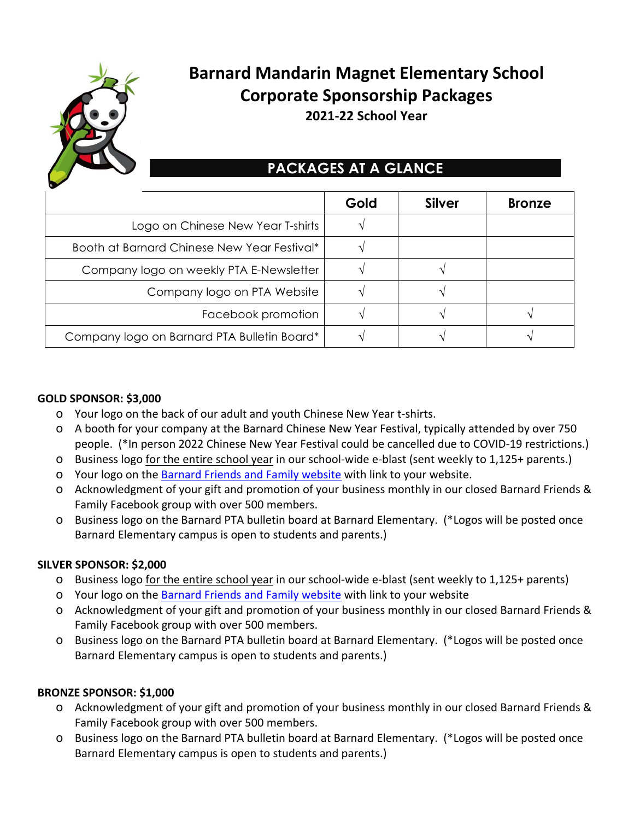

# **Barnard Mandarin Magnet Elementary School Corporate Sponsorship Packages 2021-22 School Year**

## **PACKAGES AT A GLANCE**

|                                             | Gold | <b>Silver</b> | <b>Bronze</b> |
|---------------------------------------------|------|---------------|---------------|
| Logo on Chinese New Year T-shirts           |      |               |               |
| Booth at Barnard Chinese New Year Festival* |      |               |               |
| Company logo on weekly PTA E-Newsletter     |      |               |               |
| Company logo on PTA Website                 |      |               |               |
| Facebook promotion                          |      |               |               |
| Company logo on Barnard PTA Bulletin Board* |      |               |               |

#### **GOLD SPONSOR: \$3,000**

- O Your logo on the back of our adult and youth Chinese New Year t-shirts.
- O A booth for your company at the Barnard Chinese New Year Festival, typically attended by over 750 people. (\*In person 2022 Chinese New Year Festival could be cancelled due to COVID-19 restrictions.)
- O Business logo for the entire school year in our school-wide e-blast (sent weekly to 1,125+ parents.)
- O Your logo on the Barnard Friends and Family website with link to your website.
- O Acknowledgment of your gift and promotion of your business monthly in our closed Barnard Friends & Family Facebook group with over 500 members.
- O Business logo on the Barnard PTA bulletin board at Barnard Elementary. (\*Logos will be posted once Barnard Elementary campus is open to students and parents.)

## **SILVER SPONSOR: \$2,000**

- O Business logo for the entire school year in our school-wide e-blast (sent weekly to 1,125+ parents)
- O Your logo on the Barnard Friends and Family website with link to your website
- O Acknowledgment of your gift and promotion of your business monthly in our closed Barnard Friends & Family Facebook group with over 500 members.
- O Business logo on the Barnard PTA bulletin board at Barnard Elementary. (\*Logos will be posted once Barnard Elementary campus is open to students and parents.)

## **BRONZE SPONSOR: \$1,000**

- O Acknowledgment of your gift and promotion of your business monthly in our closed Barnard Friends & Family Facebook group with over 500 members.
- O Business logo on the Barnard PTA bulletin board at Barnard Elementary. (\*Logos will be posted once Barnard Elementary campus is open to students and parents.)